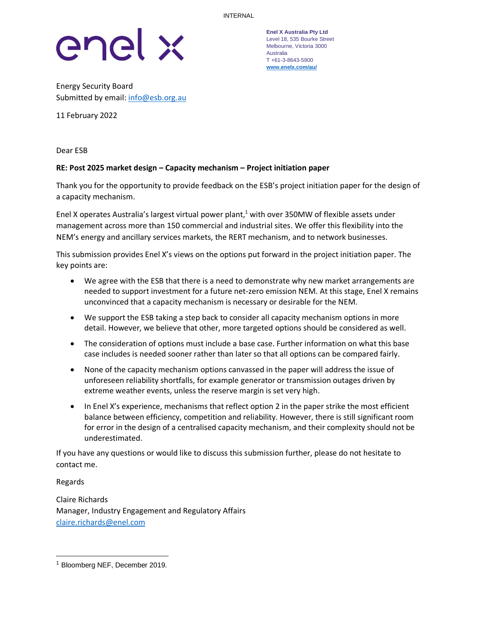

Energy Security Board Submitted by email[: info@esb.org.au](mailto:info@esb.org.au)

11 February 2022

Dear ESB

## **RE: Post 2025 market design – Capacity mechanism – Project initiation paper**

Thank you for the opportunity to provide feedback on the ESB's project initiation paper for the design of a capacity mechanism.

Enel X operates Australia's largest virtual power plant, <sup>1</sup> with over 350MW of flexible assets under management across more than 150 commercial and industrial sites. We offer this flexibility into the NEM's energy and ancillary services markets, the RERT mechanism, and to network businesses.

This submission provides Enel X's views on the options put forward in the project initiation paper. The key points are:

- We agree with the ESB that there is a need to demonstrate why new market arrangements are needed to support investment for a future net-zero emission NEM. At this stage, Enel X remains unconvinced that a capacity mechanism is necessary or desirable for the NEM.
- We support the ESB taking a step back to consider all capacity mechanism options in more detail. However, we believe that other, more targeted options should be considered as well.
- The consideration of options must include a base case. Further information on what this base case includes is needed sooner rather than later so that all options can be compared fairly.
- None of the capacity mechanism options canvassed in the paper will address the issue of unforeseen reliability shortfalls, for example generator or transmission outages driven by extreme weather events, unless the reserve margin is set very high.
- In Enel X's experience, mechanisms that reflect option 2 in the paper strike the most efficient balance between efficiency, competition and reliability. However, there is still significant room for error in the design of a centralised capacity mechanism, and their complexity should not be underestimated.

If you have any questions or would like to discuss this submission further, please do not hesitate to contact me.

Regards

Claire Richards Manager, Industry Engagement and Regulatory Affairs [claire.richards@enel.com](mailto:claire.richards@enel.com)

**Enel X Australia Pty Ltd** Level 18, 535 Bourke Street Melbourne, Victoria 3000 Australia T +61-3-8643-5900 **[www.enelx.com/a](http://www.enelx.com/)u/**

<sup>1</sup> Bloomberg NEF, December 2019.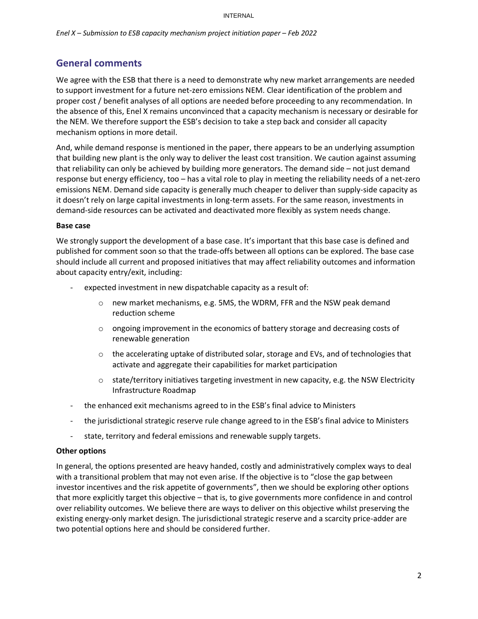# **General comments**

We agree with the ESB that there is a need to demonstrate why new market arrangements are needed to support investment for a future net-zero emissions NEM. Clear identification of the problem and proper cost / benefit analyses of all options are needed before proceeding to any recommendation. In the absence of this, Enel X remains unconvinced that a capacity mechanism is necessary or desirable for the NEM. We therefore support the ESB's decision to take a step back and consider all capacity mechanism options in more detail.

And, while demand response is mentioned in the paper, there appears to be an underlying assumption that building new plant is the only way to deliver the least cost transition. We caution against assuming that reliability can only be achieved by building more generators. The demand side – not just demand response but energy efficiency, too – has a vital role to play in meeting the reliability needs of a net-zero emissions NEM. Demand side capacity is generally much cheaper to deliver than supply-side capacity as it doesn't rely on large capital investments in long-term assets. For the same reason, investments in demand-side resources can be activated and deactivated more flexibly as system needs change.

### **Base case**

We strongly support the development of a base case. It's important that this base case is defined and published for comment soon so that the trade-offs between all options can be explored. The base case should include all current and proposed initiatives that may affect reliability outcomes and information about capacity entry/exit, including:

- expected investment in new dispatchable capacity as a result of:
	- $\circ$  new market mechanisms, e.g. 5MS, the WDRM, FFR and the NSW peak demand reduction scheme
	- $\circ$  ongoing improvement in the economics of battery storage and decreasing costs of renewable generation
	- $\circ$  the accelerating uptake of distributed solar, storage and EVs, and of technologies that activate and aggregate their capabilities for market participation
	- $\circ$  state/territory initiatives targeting investment in new capacity, e.g. the NSW Electricity Infrastructure Roadmap
- the enhanced exit mechanisms agreed to in the ESB's final advice to Ministers
- the jurisdictional strategic reserve rule change agreed to in the ESB's final advice to Ministers
- state, territory and federal emissions and renewable supply targets.

### **Other options**

In general, the options presented are heavy handed, costly and administratively complex ways to deal with a transitional problem that may not even arise. If the objective is to "close the gap between investor incentives and the risk appetite of governments", then we should be exploring other options that more explicitly target this objective – that is, to give governments more confidence in and control over reliability outcomes. We believe there are ways to deliver on this objective whilst preserving the existing energy-only market design. The jurisdictional strategic reserve and a scarcity price-adder are two potential options here and should be considered further.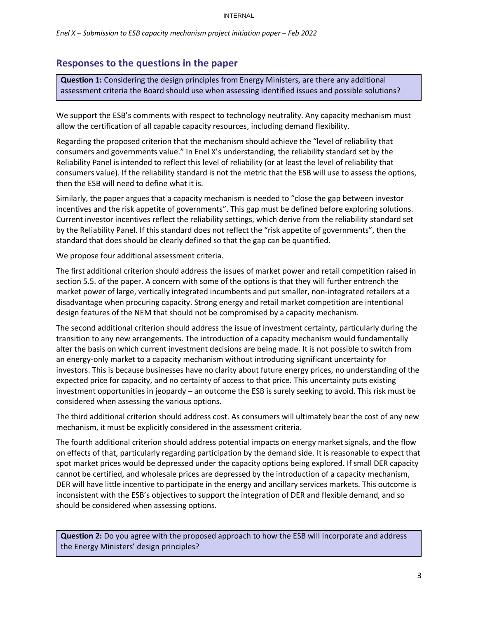## **Responses to the questions in the paper**

**Question 1:** Considering the design principles from Energy Ministers, are there any additional assessment criteria the Board should use when assessing identified issues and possible solutions?

We support the ESB's comments with respect to technology neutrality. Any capacity mechanism must allow the certification of all capable capacity resources, including demand flexibility.

Regarding the proposed criterion that the mechanism should achieve the "level of reliability that consumers and governments value." In Enel X's understanding, the reliability standard set by the Reliability Panel is intended to reflect this level of reliability (or at least the level of reliability that consumers value). If the reliability standard is not the metric that the ESB will use to assess the options, then the ESB will need to define what it is.

Similarly, the paper argues that a capacity mechanism is needed to "close the gap between investor incentives and the risk appetite of governments". This gap must be defined before exploring solutions. Current investor incentives reflect the reliability settings, which derive from the reliability standard set by the Reliability Panel. If this standard does not reflect the "risk appetite of governments", then the standard that does should be clearly defined so that the gap can be quantified.

We propose four additional assessment criteria.

The first additional criterion should address the issues of market power and retail competition raised in section 5.5. of the paper. A concern with some of the options is that they will further entrench the market power of large, vertically integrated incumbents and put smaller, non-integrated retailers at a disadvantage when procuring capacity. Strong energy and retail market competition are intentional design features of the NEM that should not be compromised by a capacity mechanism.

The second additional criterion should address the issue of investment certainty, particularly during the transition to any new arrangements. The introduction of a capacity mechanism would fundamentally alter the basis on which current investment decisions are being made. It is not possible to switch from an energy-only market to a capacity mechanism without introducing significant uncertainty for investors. This is because businesses have no clarity about future energy prices, no understanding of the expected price for capacity, and no certainty of access to that price. This uncertainty puts existing investment opportunities in jeopardy – an outcome the ESB is surely seeking to avoid. This risk must be considered when assessing the various options.

The third additional criterion should address cost. As consumers will ultimately bear the cost of any new mechanism, it must be explicitly considered in the assessment criteria.

The fourth additional criterion should address potential impacts on energy market signals, and the flow on effects of that, particularly regarding participation by the demand side. It is reasonable to expect that spot market prices would be depressed under the capacity options being explored. If small DER capacity cannot be certified, and wholesale prices are depressed by the introduction of a capacity mechanism, DER will have little incentive to participate in the energy and ancillary services markets. This outcome is inconsistent with the ESB's objectives to support the integration of DER and flexible demand, and so should be considered when assessing options.

**Question 2:** Do you agree with the proposed approach to how the ESB will incorporate and address the Energy Ministers' design principles?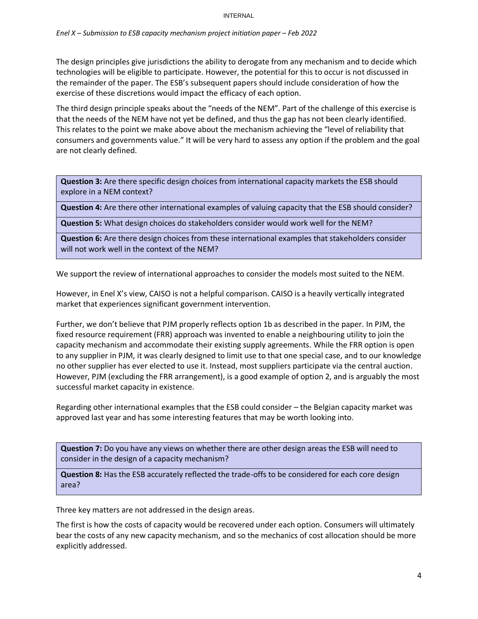### *Enel X – Submission to ESB capacity mechanism project initiation paper – Feb 2022*

The design principles give jurisdictions the ability to derogate from any mechanism and to decide which technologies will be eligible to participate. However, the potential for this to occur is not discussed in the remainder of the paper. The ESB's subsequent papers should include consideration of how the exercise of these discretions would impact the efficacy of each option.

The third design principle speaks about the "needs of the NEM". Part of the challenge of this exercise is that the needs of the NEM have not yet be defined, and thus the gap has not been clearly identified. This relates to the point we make above about the mechanism achieving the "level of reliability that consumers and governments value." It will be very hard to assess any option if the problem and the goal are not clearly defined.

**Question 3:** Are there specific design choices from international capacity markets the ESB should explore in a NEM context?

**Question 4:** Are there other international examples of valuing capacity that the ESB should consider?

**Question 5:** What design choices do stakeholders consider would work well for the NEM?

**Question 6:** Are there design choices from these international examples that stakeholders consider will not work well in the context of the NEM?

We support the review of international approaches to consider the models most suited to the NEM.

However, in Enel X's view, CAISO is not a helpful comparison. CAISO is a heavily vertically integrated market that experiences significant government intervention.

Further, we don't believe that PJM properly reflects option 1b as described in the paper. In PJM, the fixed resource requirement (FRR) approach was invented to enable a neighbouring utility to join the capacity mechanism and accommodate their existing supply agreements. While the FRR option is open to any supplier in PJM, it was clearly designed to limit use to that one special case, and to our knowledge no other supplier has ever elected to use it. Instead, most suppliers participate via the central auction. However, PJM (excluding the FRR arrangement), is a good example of option 2, and is arguably the most successful market capacity in existence.

Regarding other international examples that the ESB could consider – the Belgian capacity market was approved last year and has some interesting features that may be worth looking into.

**Question 7:** Do you have any views on whether there are other design areas the ESB will need to consider in the design of a capacity mechanism?

**Question 8:** Has the ESB accurately reflected the trade-offs to be considered for each core design area?

Three key matters are not addressed in the design areas.

The first is how the costs of capacity would be recovered under each option. Consumers will ultimately bear the costs of any new capacity mechanism, and so the mechanics of cost allocation should be more explicitly addressed.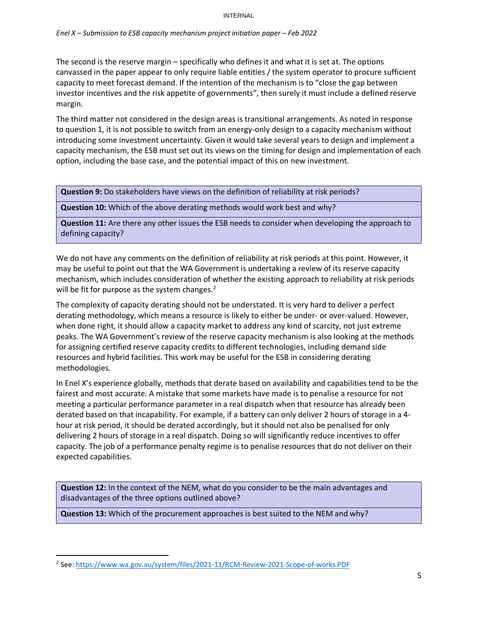### *Enel X – Submission to ESB capacity mechanism project initiation paper – Feb 2022*

The second is the reserve margin – specifically who defines it and what it is set at. The options canvassed in the paper appear to only require liable entities / the system operator to procure sufficient capacity to meet forecast demand. If the intention of the mechanism is to "close the gap between investor incentives and the risk appetite of governments", then surely it must include a defined reserve margin.

The third matter not considered in the design areas is transitional arrangements. As noted in response to question 1, it is not possible to switch from an energy-only design to a capacity mechanism without introducing some investment uncertainty. Given it would take several years to design and implement a capacity mechanism, the ESB must set out its views on the timing for design and implementation of each option, including the base case, and the potential impact of this on new investment.

**Question 9:** Do stakeholders have views on the definition of reliability at risk periods?

**Question 10:** Which of the above derating methods would work best and why?

**Question 11:** Are there any other issues the ESB needs to consider when developing the approach to defining capacity?

We do not have any comments on the definition of reliability at risk periods at this point. However, it may be useful to point out that the WA Government is undertaking a review of its reserve capacity mechanism, which includes consideration of whether the existing approach to reliability at risk periods will be fit for purpose as the system changes. $2$ 

The complexity of capacity derating should not be understated. It is very hard to deliver a perfect derating methodology, which means a resource is likely to either be under- or over-valued. However, when done right, it should allow a capacity market to address any kind of scarcity, not just extreme peaks. The WA Government's review of the reserve capacity mechanism is also looking at the methods for assigning certified reserve capacity credits to different technologies, including demand side resources and hybrid facilities. This work may be useful for the ESB in considering derating methodologies.

In Enel X's experience globally, methods that derate based on availability and capabilities tend to be the fairest and most accurate. A mistake that some markets have made is to penalise a resource for not meeting a particular performance parameter in a real dispatch when that resource has already been derated based on that incapability. For example, if a battery can only deliver 2 hours of storage in a 4 hour at risk period, it should be derated accordingly, but it should not also be penalised for only delivering 2 hours of storage in a real dispatch. Doing so will significantly reduce incentives to offer capacity. The job of a performance penalty regime is to penalise resources that do not deliver on their expected capabilities.

**Question 12:** In the context of the NEM, what do you consider to be the main advantages and disadvantages of the three options outlined above?

**Question 13:** Which of the procurement approaches is best suited to the NEM and why?

<sup>&</sup>lt;sup>2</sup> See: <u>https://www.wa.gov.au/system/files/2021-11/RCM-Review-2021-Scope-of-works.PDF</u>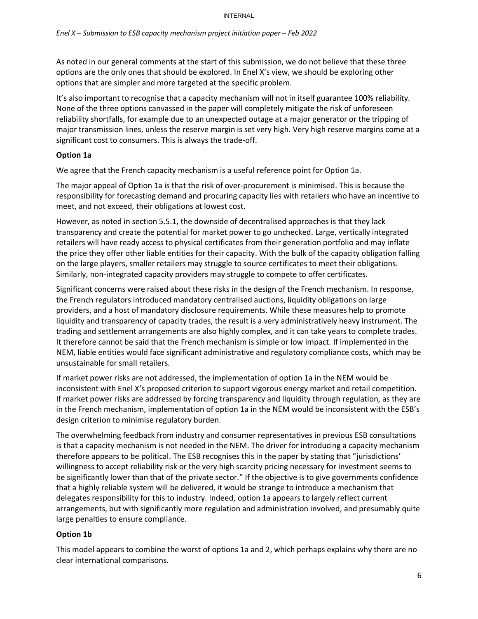As noted in our general comments at the start of this submission, we do not believe that these three options are the only ones that should be explored. In Enel X's view, we should be exploring other options that are simpler and more targeted at the specific problem.

It's also important to recognise that a capacity mechanism will not in itself guarantee 100% reliability. None of the three options canvassed in the paper will completely mitigate the risk of unforeseen reliability shortfalls, for example due to an unexpected outage at a major generator or the tripping of major transmission lines, unless the reserve margin is set very high. Very high reserve margins come at a significant cost to consumers. This is always the trade-off.

## **Option 1a**

We agree that the French capacity mechanism is a useful reference point for Option 1a.

The major appeal of Option 1a is that the risk of over-procurement is minimised. This is because the responsibility for forecasting demand and procuring capacity lies with retailers who have an incentive to meet, and not exceed, their obligations at lowest cost.

However, as noted in section 5.5.1, the downside of decentralised approaches is that they lack transparency and create the potential for market power to go unchecked. Large, vertically integrated retailers will have ready access to physical certificates from their generation portfolio and may inflate the price they offer other liable entities for their capacity. With the bulk of the capacity obligation falling on the large players, smaller retailers may struggle to source certificates to meet their obligations. Similarly, non-integrated capacity providers may struggle to compete to offer certificates.

Significant concerns were raised about these risks in the design of the French mechanism. In response, the French regulators introduced mandatory centralised auctions, liquidity obligations on large providers, and a host of mandatory disclosure requirements. While these measures help to promote liquidity and transparency of capacity trades, the result is a very administratively heavy instrument. The trading and settlement arrangements are also highly complex, and it can take years to complete trades. It therefore cannot be said that the French mechanism is simple or low impact. If implemented in the NEM, liable entities would face significant administrative and regulatory compliance costs, which may be unsustainable for small retailers.

If market power risks are not addressed, the implementation of option 1a in the NEM would be inconsistent with Enel X's proposed criterion to support vigorous energy market and retail competition. If market power risks are addressed by forcing transparency and liquidity through regulation, as they are in the French mechanism, implementation of option 1a in the NEM would be inconsistent with the ESB's design criterion to minimise regulatory burden.

The overwhelming feedback from industry and consumer representatives in previous ESB consultations is that a capacity mechanism is not needed in the NEM. The driver for introducing a capacity mechanism therefore appears to be political. The ESB recognises this in the paper by stating that "jurisdictions' willingness to accept reliability risk or the very high scarcity pricing necessary for investment seems to be significantly lower than that of the private sector." If the objective is to give governments confidence that a highly reliable system will be delivered, it would be strange to introduce a mechanism that delegates responsibility for this to industry. Indeed, option 1a appears to largely reflect current arrangements, but with significantly more regulation and administration involved, and presumably quite large penalties to ensure compliance.

## **Option 1b**

This model appears to combine the worst of options 1a and 2, which perhaps explains why there are no clear international comparisons.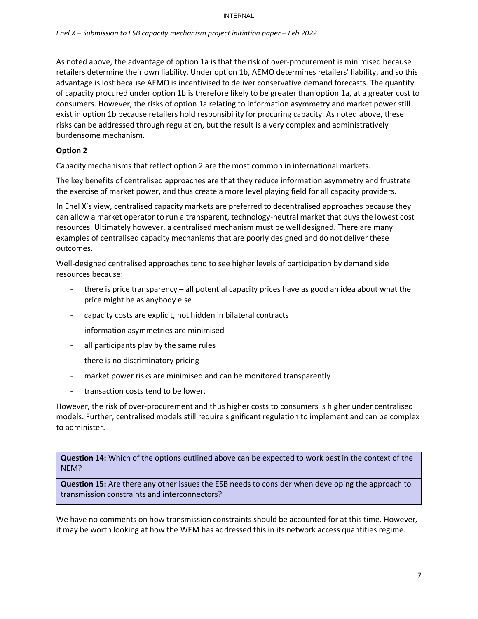As noted above, the advantage of option 1a is that the risk of over-procurement is minimised because retailers determine their own liability. Under option 1b, AEMO determines retailers' liability, and so this advantage is lost because AEMO is incentivised to deliver conservative demand forecasts. The quantity of capacity procured under option 1b is therefore likely to be greater than option 1a, at a greater cost to consumers. However, the risks of option 1a relating to information asymmetry and market power still exist in option 1b because retailers hold responsibility for procuring capacity. As noted above, these risks can be addressed through regulation, but the result is a very complex and administratively burdensome mechanism.

## **Option 2**

Capacity mechanisms that reflect option 2 are the most common in international markets.

The key benefits of centralised approaches are that they reduce information asymmetry and frustrate the exercise of market power, and thus create a more level playing field for all capacity providers.

In Enel X's view, centralised capacity markets are preferred to decentralised approaches because they can allow a market operator to run a transparent, technology-neutral market that buys the lowest cost resources. Ultimately however, a centralised mechanism must be well designed. There are many examples of centralised capacity mechanisms that are poorly designed and do not deliver these outcomes.

Well-designed centralised approaches tend to see higher levels of participation by demand side resources because:

- there is price transparency all potential capacity prices have as good an idea about what the price might be as anybody else
- capacity costs are explicit, not hidden in bilateral contracts
- information asymmetries are minimised
- all participants play by the same rules
- there is no discriminatory pricing
- market power risks are minimised and can be monitored transparently
- transaction costs tend to be lower.

However, the risk of over-procurement and thus higher costs to consumers is higher under centralised models. Further, centralised models still require significant regulation to implement and can be complex to administer.

**Question 14:** Which of the options outlined above can be expected to work best in the context of the NEM?

**Question 15:** Are there any other issues the ESB needs to consider when developing the approach to transmission constraints and interconnectors?

We have no comments on how transmission constraints should be accounted for at this time. However, it may be worth looking at how the WEM has addressed this in its network access quantities regime.